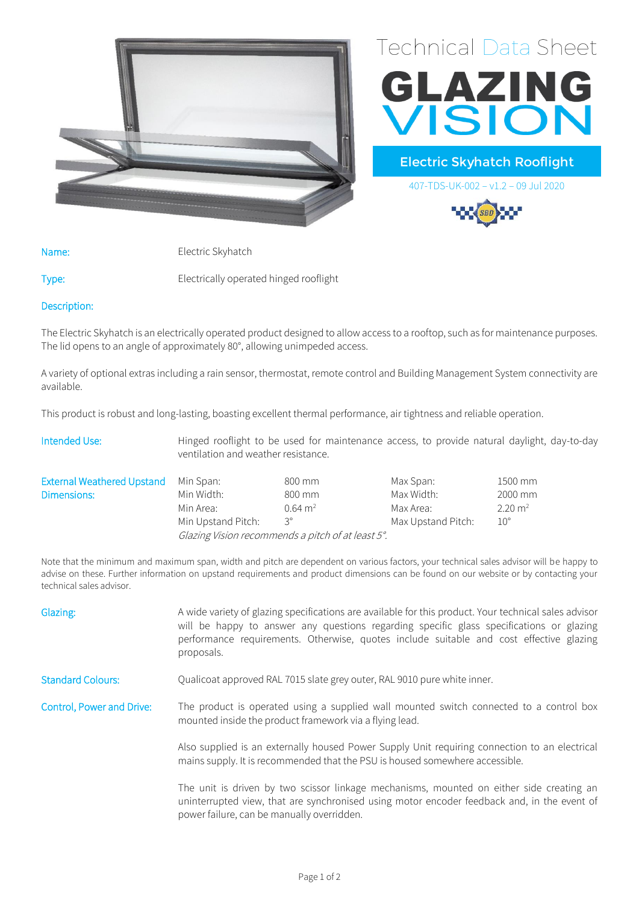



Electric Skyhatch Rooflight

407-TDS-UK-002 – v1.2 – 09 Jul 2020

Name: Electric Skyhatch

Type: Electrically operated hinged rooflight

## Description:

The Electric Skyhatch is an electrically operated product designed to allow access to a rooftop, such as for maintenance purposes. The lid opens to an angle of approximately 80°, allowing unimpeded access.

A variety of optional extras including a rain sensor, thermostat, remote control and Building Management System connectivity are available.

This product is robust and long-lasting, boasting excellent thermal performance, air tightness and reliable operation.

| Intended Use: | Hinged rooflight to be used for maintenance access, to provide natural daylight, day-to-day |
|---------------|---------------------------------------------------------------------------------------------|
|               | ventilation and weather resistance.                                                         |

| <b>External Weathered Upstand</b> | Min Span:                                         | 800 mm             | Max Span:          | 1500 mm            |
|-----------------------------------|---------------------------------------------------|--------------------|--------------------|--------------------|
| Dimensions:                       | Min Width:                                        | 800 mm             | Max Width:         | 2000 mm            |
|                                   | Min Area:                                         | $0.64 \text{ m}^2$ | Max Area:          | $2.20 \text{ m}^2$ |
|                                   | Min Upstand Pitch:                                | ೊ                  | Max Upstand Pitch: | $10^{\circ}$       |
|                                   | Glazing Vision recommends a pitch of at least 5°. |                    |                    |                    |

Note that the minimum and maximum span, width and pitch are dependent on various factors, your technical sales advisor will be happy to advise on these. Further information on upstand requirements and product dimensions can be found on our website or by contacting your technical sales advisor.

| Glazing:                  | A wide variety of glazing specifications are available for this product. Your technical sales advisor<br>will be happy to answer any questions regarding specific glass specifications or glazing<br>performance requirements. Otherwise, quotes include suitable and cost effective glazing<br>proposals. |
|---------------------------|------------------------------------------------------------------------------------------------------------------------------------------------------------------------------------------------------------------------------------------------------------------------------------------------------------|
| <b>Standard Colours:</b>  | Qualicoat approved RAL 7015 slate grey outer, RAL 9010 pure white inner.                                                                                                                                                                                                                                   |
| Control, Power and Drive: | The product is operated using a supplied wall mounted switch connected to a control box<br>mounted inside the product framework via a flying lead.                                                                                                                                                         |
|                           | Also supplied is an externally housed Power Supply Unit requiring connection to an electrical<br>mains supply. It is recommended that the PSU is housed somewhere accessible.                                                                                                                              |
|                           | The unit is driven by two scissor linkage mechanisms, mounted on either side creating an<br>uninterrupted view, that are synchronised using motor encoder feedback and, in the event of<br>power failure, can be manually overridden.                                                                      |